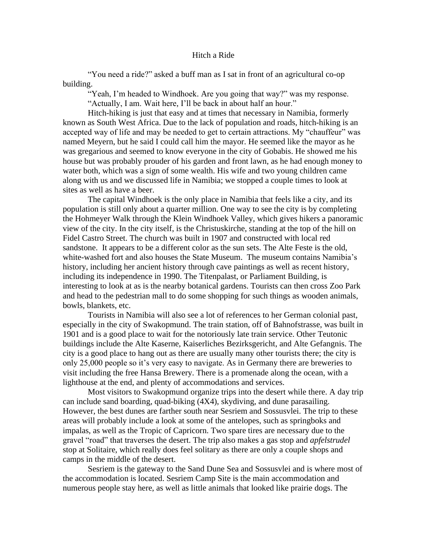"You need a ride?" asked a buff man as I sat in front of an agricultural co-op building.

"Yeah, I'm headed to Windhoek. Are you going that way?" was my response. "Actually, I am. Wait here, I'll be back in about half an hour."

Hitch-hiking is just that easy and at times that necessary in Namibia, formerly known as South West Africa. Due to the lack of population and roads, hitch-hiking is an accepted way of life and may be needed to get to certain attractions. My "chauffeur" was named Meyern, but he said I could call him the mayor. He seemed like the mayor as he was gregarious and seemed to know everyone in the city of Gobabis. He showed me his house but was probably prouder of his garden and front lawn, as he had enough money to water both, which was a sign of some wealth. His wife and two young children came along with us and we discussed life in Namibia; we stopped a couple times to look at sites as well as have a beer.

The capital Windhoek is the only place in Namibia that feels like a city, and its population is still only about a quarter million. One way to see the city is by completing the Hohmeyer Walk through the Klein Windhoek Valley, which gives hikers a panoramic view of the city. In the city itself, is the Christuskirche, standing at the top of the hill on Fidel Castro Street. The church was built in 1907 and constructed with local red sandstone. It appears to be a different color as the sun sets. The Alte Feste is the old, white-washed fort and also houses the State Museum. The museum contains Namibia's history, including her ancient history through cave paintings as well as recent history, including its independence in 1990. The Titenpalast, or Parliament Building, is interesting to look at as is the nearby botanical gardens. Tourists can then cross Zoo Park and head to the pedestrian mall to do some shopping for such things as wooden animals, bowls, blankets, etc.

Tourists in Namibia will also see a lot of references to her German colonial past, especially in the city of Swakopmund. The train station, off of Bahnofstrasse, was built in 1901 and is a good place to wait for the notoriously late train service. Other Teutonic buildings include the Alte Kaserne, Kaiserliches Bezirksgericht, and Alte Gefangnis. The city is a good place to hang out as there are usually many other tourists there; the city is only 25,000 people so it's very easy to navigate. As in Germany there are breweries to visit including the free Hansa Brewery. There is a promenade along the ocean, with a lighthouse at the end, and plenty of accommodations and services.

Most visitors to Swakopmund organize trips into the desert while there. A day trip can include sand boarding, quad-biking (4X4), skydiving, and dune parasailing. However, the best dunes are farther south near Sesriem and Sossusvlei. The trip to these areas will probably include a look at some of the antelopes, such as springboks and impalas, as well as the Tropic of Capricorn. Two spare tires are necessary due to the gravel "road" that traverses the desert. The trip also makes a gas stop and *apfelstrudel* stop at Solitaire, which really does feel solitary as there are only a couple shops and camps in the middle of the desert.

Sesriem is the gateway to the Sand Dune Sea and Sossusvlei and is where most of the accommodation is located. Sesriem Camp Site is the main accommodation and numerous people stay here, as well as little animals that looked like prairie dogs. The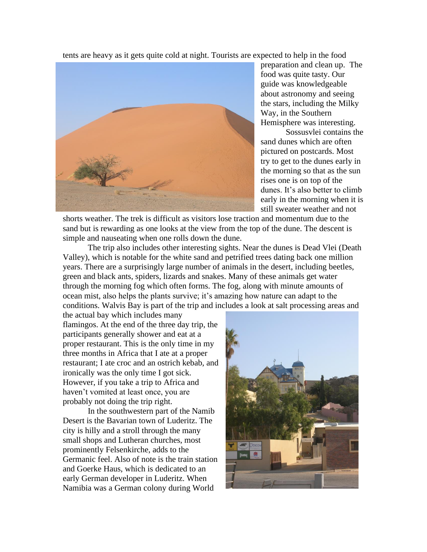tents are heavy as it gets quite cold at night. Tourists are expected to help in the food



preparation and clean up. The food was quite tasty. Our guide was knowledgeable about astronomy and seeing the stars, including the Milky Way, in the Southern Hemisphere was interesting.

Sossusvlei contains the sand dunes which are often pictured on postcards. Most try to get to the dunes early in the morning so that as the sun rises one is on top of the dunes. It's also better to climb early in the morning when it is still sweater weather and not

shorts weather. The trek is difficult as visitors lose traction and momentum due to the sand but is rewarding as one looks at the view from the top of the dune. The descent is simple and nauseating when one rolls down the dune.

The trip also includes other interesting sights. Near the dunes is Dead Vlei (Death Valley), which is notable for the white sand and petrified trees dating back one million years. There are a surprisingly large number of animals in the desert, including beetles, green and black ants, spiders, lizards and snakes. Many of these animals get water through the morning fog which often forms. The fog, along with minute amounts of ocean mist, also helps the plants survive; it's amazing how nature can adapt to the conditions. Walvis Bay is part of the trip and includes a look at salt processing areas and

the actual bay which includes many flamingos. At the end of the three day trip, the participants generally shower and eat at a proper restaurant. This is the only time in my three months in Africa that I ate at a proper restaurant; I ate croc and an ostrich kebab, and ironically was the only time I got sick. However, if you take a trip to Africa and haven't vomited at least once, you are probably not doing the trip right.

In the southwestern part of the Namib Desert is the Bavarian town of Luderitz. The city is hilly and a stroll through the many small shops and Lutheran churches, most prominently Felsenkirche, adds to the Germanic feel. Also of note is the train station and Goerke Haus, which is dedicated to an early German developer in Luderitz. When Namibia was a German colony during World